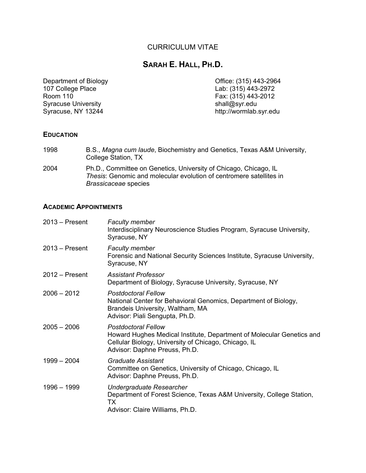## CURRICULUM VITAE

# **SARAH E. HALL, PH.D.**

Department of Biology<br>
107 College Place<br>
107 College Place<br>
107 College Place<br>
2015) 243-2972  $107$  College Place  $\overrightarrow{5}$  (315) 443-2972<br>
Room 110 Syracuse University<br>Syracuse, NY 13244

Fax:  $(315)$  443-2012<br>shall@syr.edu http://wormlab.syr.edu

### **EDUCATION**

| 1998 | B.S., <i>Magna cum laude</i> , Biochemistry and Genetics, Texas A&M University,<br>College Station, TX                                                          |
|------|-----------------------------------------------------------------------------------------------------------------------------------------------------------------|
| 2004 | Ph.D., Committee on Genetics, University of Chicago, Chicago, IL<br>Thesis: Genomic and molecular evolution of centromere satellites in<br>Brassicaceae species |

### **ACADEMIC APPOINTMENTS**

| $2013 -$ Present | <b>Faculty member</b><br>Interdisciplinary Neuroscience Studies Program, Syracuse University,<br>Syracuse, NY                                                                                |
|------------------|----------------------------------------------------------------------------------------------------------------------------------------------------------------------------------------------|
| $2013 -$ Present | <b>Faculty member</b><br>Forensic and National Security Sciences Institute, Syracuse University,<br>Syracuse, NY                                                                             |
| $2012 -$ Present | <b>Assistant Professor</b><br>Department of Biology, Syracuse University, Syracuse, NY                                                                                                       |
| $2006 - 2012$    | <b>Postdoctoral Fellow</b><br>National Center for Behavioral Genomics, Department of Biology,<br>Brandeis University, Waltham, MA<br>Advisor: Piali Sengupta, Ph.D.                          |
| $2005 - 2006$    | <b>Postdoctoral Fellow</b><br>Howard Hughes Medical Institute, Department of Molecular Genetics and<br>Cellular Biology, University of Chicago, Chicago, IL<br>Advisor: Daphne Preuss, Ph.D. |
| $1999 - 2004$    | Graduate Assistant<br>Committee on Genetics, University of Chicago, Chicago, IL<br>Advisor: Daphne Preuss, Ph.D.                                                                             |
| $1996 - 1999$    | Undergraduate Researcher<br>Department of Forest Science, Texas A&M University, College Station,<br>ТX<br>Advisor: Claire Williams, Ph.D.                                                    |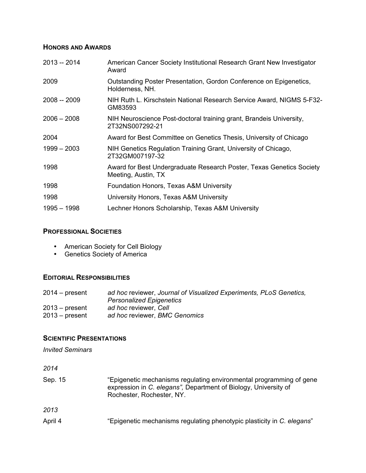## **HONORS AND AWARDS**

| $2013 - 2014$ | American Cancer Society Institutional Research Grant New Investigator<br>Award              |
|---------------|---------------------------------------------------------------------------------------------|
| 2009          | Outstanding Poster Presentation, Gordon Conference on Epigenetics,<br>Holderness, NH.       |
| $2008 - 2009$ | NIH Ruth L. Kirschstein National Research Service Award, NIGMS 5-F32-<br>GM83593            |
| $2006 - 2008$ | NIH Neuroscience Post-doctoral training grant, Brandeis University,<br>2T32NS007292-21      |
| 2004          | Award for Best Committee on Genetics Thesis, University of Chicago                          |
| $1999 - 2003$ | NIH Genetics Regulation Training Grant, University of Chicago,<br>2T32GM007197-32           |
| 1998          | Award for Best Undergraduate Research Poster, Texas Genetics Society<br>Meeting, Austin, TX |
| 1998          | Foundation Honors, Texas A&M University                                                     |
| 1998          | University Honors, Texas A&M University                                                     |
| $1995 - 1998$ | Lechner Honors Scholarship, Texas A&M University                                            |
|               |                                                                                             |

## **PROFESSIONAL SOCIETIES**

- American Society for Cell Biology
- Genetics Society of America

## **EDITORIAL RESPONSIBILITIES**

| $2014 - present$ | ad hoc reviewer, Journal of Visualized Experiments, PLoS Genetics, |
|------------------|--------------------------------------------------------------------|
|                  | <b>Personalized Epigenetics</b>                                    |
| $2013 - present$ | ad hoc reviewer, Cell                                              |
| $2013 - present$ | ad hoc reviewer, BMC Genomics                                      |

#### **SCIENTIFIC PRESENTATIONS**

*Invited Seminars*

*2014*

| Sep. 15 | "Epigenetic mechanisms regulating environmental programming of gene<br>expression in C. elegans", Department of Biology, University of<br>Rochester, Rochester, NY. |
|---------|---------------------------------------------------------------------------------------------------------------------------------------------------------------------|
| 2013    |                                                                                                                                                                     |
| April 4 | "Epigenetic mechanisms regulating phenotypic plasticity in C. elegans"                                                                                              |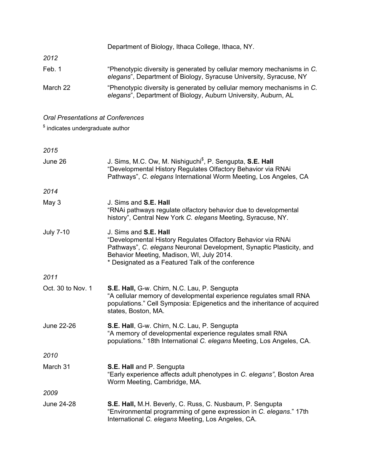|          | Department of Biology, Ithaca College, Ithaca, NY.                                                                                           |
|----------|----------------------------------------------------------------------------------------------------------------------------------------------|
| 2012     |                                                                                                                                              |
| Feb. 1   | "Phenotypic diversity is generated by cellular memory mechanisms in C.<br>elegans", Department of Biology, Syracuse University, Syracuse, NY |
| March 22 | "Phenotypic diversity is generated by cellular memory mechanisms in C.<br>elegans", Department of Biology, Auburn University, Auburn, AL     |

*Oral Presentations at Conferences*

 $\degree$  indicates undergraduate author

*2015*

| June 26           | J. Sims, M.C. Ow, M. Nishiguchi <sup>\$</sup> , P. Sengupta, <b>S.E. Hall</b><br>"Developmental History Regulates Olfactory Behavior via RNAi<br>Pathways", C. elegans International Worm Meeting, Los Angeles, CA                                              |
|-------------------|-----------------------------------------------------------------------------------------------------------------------------------------------------------------------------------------------------------------------------------------------------------------|
| 2014              |                                                                                                                                                                                                                                                                 |
| May 3             | J. Sims and S.E. Hall<br>"RNAi pathways regulate olfactory behavior due to developmental<br>history", Central New York C. elegans Meeting, Syracuse, NY.                                                                                                        |
| <b>July 7-10</b>  | J. Sims and S.E. Hall<br>"Developmental History Regulates Olfactory Behavior via RNAi<br>Pathways", C. elegans Neuronal Development, Synaptic Plasticity, and<br>Behavior Meeting, Madison, WI, July 2014.<br>* Designated as a Featured Talk of the conference |
| 2011              |                                                                                                                                                                                                                                                                 |
| Oct. 30 to Nov. 1 | S.E. Hall, G-w. Chirn, N.C. Lau, P. Sengupta<br>"A cellular memory of developmental experience regulates small RNA<br>populations." Cell Symposia: Epigenetics and the inheritance of acquired<br>states, Boston, MA.                                           |
| June 22-26        | S.E. Hall, G-w. Chirn, N.C. Lau, P. Sengupta<br>"A memory of developmental experience regulates small RNA<br>populations." 18th International C. elegans Meeting, Los Angeles, CA.                                                                              |
| 2010              |                                                                                                                                                                                                                                                                 |
| March 31          | S.E. Hall and P. Sengupta<br>"Early experience affects adult phenotypes in C. elegans", Boston Area<br>Worm Meeting, Cambridge, MA.                                                                                                                             |
| 2009              |                                                                                                                                                                                                                                                                 |
| <b>June 24-28</b> | S.E. Hall, M.H. Beverly, C. Russ, C. Nusbaum, P. Sengupta<br>"Environmental programming of gene expression in C. elegans." 17th<br>International C. elegans Meeting, Los Angeles, CA.                                                                           |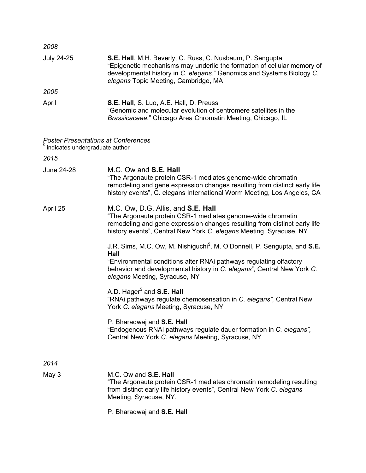| 2008                                                                                       |                                                                                                                                                                                                                                                       |
|--------------------------------------------------------------------------------------------|-------------------------------------------------------------------------------------------------------------------------------------------------------------------------------------------------------------------------------------------------------|
| <b>July 24-25</b>                                                                          | S.E. Hall, M.H. Beverly, C. Russ, C. Nusbaum, P. Sengupta<br>"Epigenetic mechanisms may underlie the formation of cellular memory of<br>developmental history in C. elegans." Genomics and Systems Biology C.<br>elegans Topic Meeting, Cambridge, MA |
| 2005                                                                                       |                                                                                                                                                                                                                                                       |
| April                                                                                      | S.E. Hall, S. Luo, A.E. Hall, D. Preuss<br>"Genomic and molecular evolution of centromere satellites in the<br>Brassicaceae." Chicago Area Chromatin Meeting, Chicago, IL                                                                             |
| <b>Poster Presentations at Conferences</b><br><sup>\$</sup> indicates undergraduate author |                                                                                                                                                                                                                                                       |
| 2015                                                                                       |                                                                                                                                                                                                                                                       |
| June 24-28                                                                                 | M.C. Ow and S.E. Hall<br>"The Argonaute protein CSR-1 mediates genome-wide chromatin<br>remodeling and gene expression changes resulting from distinct early life<br>history events", C. elegans International Worm Meeting, Los Angeles, CA          |
| April 25                                                                                   | M.C. Ow, D.G. Allis, and S.E. Hall<br>"The Argonaute protein CSR-1 mediates genome-wide chromatin<br>remodeling and gene expression changes resulting from distinct early life<br>history events", Central New York C. elegans Meeting, Syracuse, NY  |
|                                                                                            | J.R. Sims, M.C. Ow, M. Nishiguchi <sup>\$</sup> , M. O'Donnell, P. Sengupta, and S.E.<br>Hall                                                                                                                                                         |
|                                                                                            | "Environmental conditions alter RNAi pathways regulating olfactory<br>behavior and developmental history in C. elegans", Central New York C.<br>elegans Meeting, Syracuse, NY                                                                         |
|                                                                                            | A.D. Hager <sup>\$</sup> and <b>S.E. Hall</b><br>"RNAi pathways regulate chemosensation in C. elegans", Central New<br>York C. elegans Meeting, Syracuse, NY                                                                                          |
|                                                                                            | P. Bharadwaj and S.E. Hall<br>"Endogenous RNAi pathways regulate dauer formation in C. elegans",                                                                                                                                                      |

Central New York *C. elegans* Meeting, Syracuse, NY

*2014*

- May 3 M.C. Ow and **S.E. Hall** "The Argonaute protein CSR-1 mediates chromatin remodeling resulting from distinct early life history events", Central New York *C. elegans* Meeting, Syracuse, NY.
	- P. Bharadwaj and **S.E. Hall**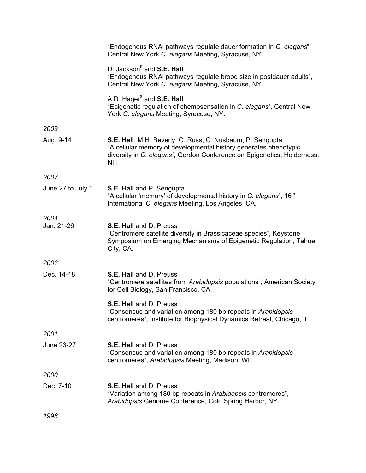|                   | "Endogenous RNAi pathways regulate dauer formation in C. elegans",<br>Central New York C. elegans Meeting, Syracuse, NY.                                                                                        |
|-------------------|-----------------------------------------------------------------------------------------------------------------------------------------------------------------------------------------------------------------|
|                   | D. Jackson <sup>\$</sup> and <b>S.E. Hall</b><br>"Endogenous RNAi pathways regulate brood size in postdauer adults",<br>Central New York C. elegans Meeting, Syracuse, NY.                                      |
|                   | A.D. Hager <sup>\$</sup> and S.E. Hall<br>"Epigenetic regulation of chemosensation in C. elegans", Central New<br>York C. elegans Meeting, Syracuse, NY.                                                        |
| 2009              |                                                                                                                                                                                                                 |
| Aug. 9-14         | S.E. Hall, M.H. Beverly, C. Russ, C. Nusbaum, P. Sengupta<br>"A cellular memory of developmental history generates phenotypic<br>diversity in C. elegans", Gordon Conference on Epigenetics, Holderness,<br>NH. |
| 2007              |                                                                                                                                                                                                                 |
| June 27 to July 1 | S.E. Hall and P. Sengupta<br>"A cellular 'memory' of developmental history in C. elegans", 16 <sup>th</sup><br>International C. elegans Meeting, Los Angeles, CA.                                               |
| 2004              |                                                                                                                                                                                                                 |
| Jan. 21-26        | S.E. Hall and D. Preuss<br>"Centromere satellite diversity in Brassicaceae species", Keystone<br>Symposium on Emerging Mechanisms of Epigenetic Regulation, Tahoe<br>City, CA.                                  |
| 2002              |                                                                                                                                                                                                                 |
| Dec. 14-18        | S.E. Hall and D. Preuss<br>"Centromere satellites from Arabidopsis populations", American Society<br>for Cell Biology, San Francisco, CA.                                                                       |
|                   | S.E. Hall and D. Preuss<br>"Consensus and variation among 180 bp repeats in Arabidopsis<br>centromeres", Institute for Biophysical Dynamics Retreat, Chicago, IL.                                               |
| 2001              |                                                                                                                                                                                                                 |
| June 23-27        | S.E. Hall and D. Preuss<br>"Consensus and variation among 180 bp repeats in Arabidopsis<br>centromeres", Arabidopsis Meeting, Madison, WI.                                                                      |
| 2000              |                                                                                                                                                                                                                 |
| Dec. 7-10         | S.E. Hall and D. Preuss<br>"Variation among 180 bp repeats in Arabidopsis centromeres",<br>Arabidopsis Genome Conference, Cold Spring Harbor, NY.                                                               |
| 1998              |                                                                                                                                                                                                                 |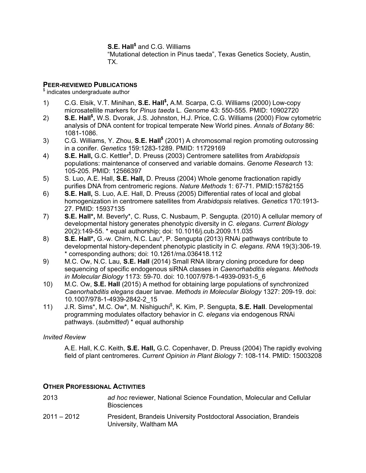**S.E. Hall\$** and C.G. Williams

"Mutational detection in Pinus taeda", Texas Genetics Society, Austin, TX.

### **PEER-REVIEWED PUBLICATIONS**

 $$$  indicates undergraduate author

- 1) C.G. Elsik, V.T. Minihan, **S.E. Hall\$ ,** A.M. Scarpa, C.G. Williams (2000) Low-copy microsatellite markers for *Pinus taeda* L. *Genome* 43: 550-555. PMID: 10902720
- 2) **S.E. Hall\$ ,** W.S. Dvorak, J.S. Johnston, H.J. Price, C.G. Williams (2000) Flow cytometric analysis of DNA content for tropical temperate New World pines. *Annals of Botany* 86: 1081-1086.
- 3) C.G. Williams, Y. Zhou, **S.E. Hall\$** (2001) A chromosomal region promoting outcrossing in a conifer. *Genetics* 159:1283-1289. PMID: 11729169
- 4) **S.E. Hall,** G.C. Kettler\$ , D. Preuss (2003) Centromere satellites from *Arabidopsis* populations: maintenance of conserved and variable domains. *Genome Research* 13: 105-205. PMID: 12566397
- 5) S. Luo, A.E. Hall, **S.E. Hall,** D. Preuss (2004) Whole genome fractionation rapidly purifies DNA from centromeric regions. *Nature Methods* 1: 67-71. PMID:15782155
- 6) **S.E. Hall,** S. Luo, A.E. Hall, D. Preuss (2005) Differential rates of local and global homogenization in centromere satellites from *Arabidopsis* relatives. *Genetics* 170:1913- 27. PMID: 15937135
- 7) **S.E. Hall\*,** M. Beverly\*, C. Russ, C. Nusbaum, P. Sengupta. (2010) A cellular memory of developmental history generates phenotypic diversity in *C. elegans*. *Current Biology* 20(2):149-55. \* equal authorship; doi: 10.1016/j.cub.2009.11.035
- 8) **S.E. Hall\*,** G.-w. Chirn, N.C. Lau\*, P. Sengupta (2013) RNAi pathways contribute to developmental history-dependent phenotypic plasticity in *C. elegans*. *RNA* 19(3):306-19*.*  \* corresponding authors; doi: 10.1261/rna.036418.112
- 9) M.C. Ow, N.C. Lau, **S.E. Hall** (2014) Small RNA library cloning procedure for deep sequencing of specific endogenous siRNA classes in *Caenorhabditis elegans*. *Methods in Molecular Biology* 1173: 59-70*.* doi: 10.1007/978-1-4939-0931-5\_6
- 10) M.C. Ow, **S.E. Hall** (2015) A method for obtaining large populations of synchronized *Caenorhabditis elegans* dauer larvae. *Methods in Molecular Biology* 1327: 209-19. doi: 10.1007/978-1-4939-2842-2\_15
- 11) J.R. Sims\*, M.C. Ow\*, M. Nishiguchi<sup>\$</sup>, K. Kim, P. Sengupta, S.E. Hall. Developmental programming modulates olfactory behavior in *C. elegans* via endogenous RNAi pathways. (*submitted*) \* equal authorship

#### *Invited Review*

A.E. Hall, K.C. Keith, **S.E. Hall,** G.C. Copenhaver, D. Preuss (2004) The rapidly evolving field of plant centromeres. *Current Opinion in Plant Biology* 7: 108-114. PMID: 15003208

### **OTHER PROFESSIONAL ACTIVITIES**

| 2013          | ad hoc reviewer, National Science Foundation, Molecular and Cellular<br><b>Biosciences</b>  |
|---------------|---------------------------------------------------------------------------------------------|
| $2011 - 2012$ | President, Brandeis University Postdoctoral Association, Brandeis<br>University, Waltham MA |